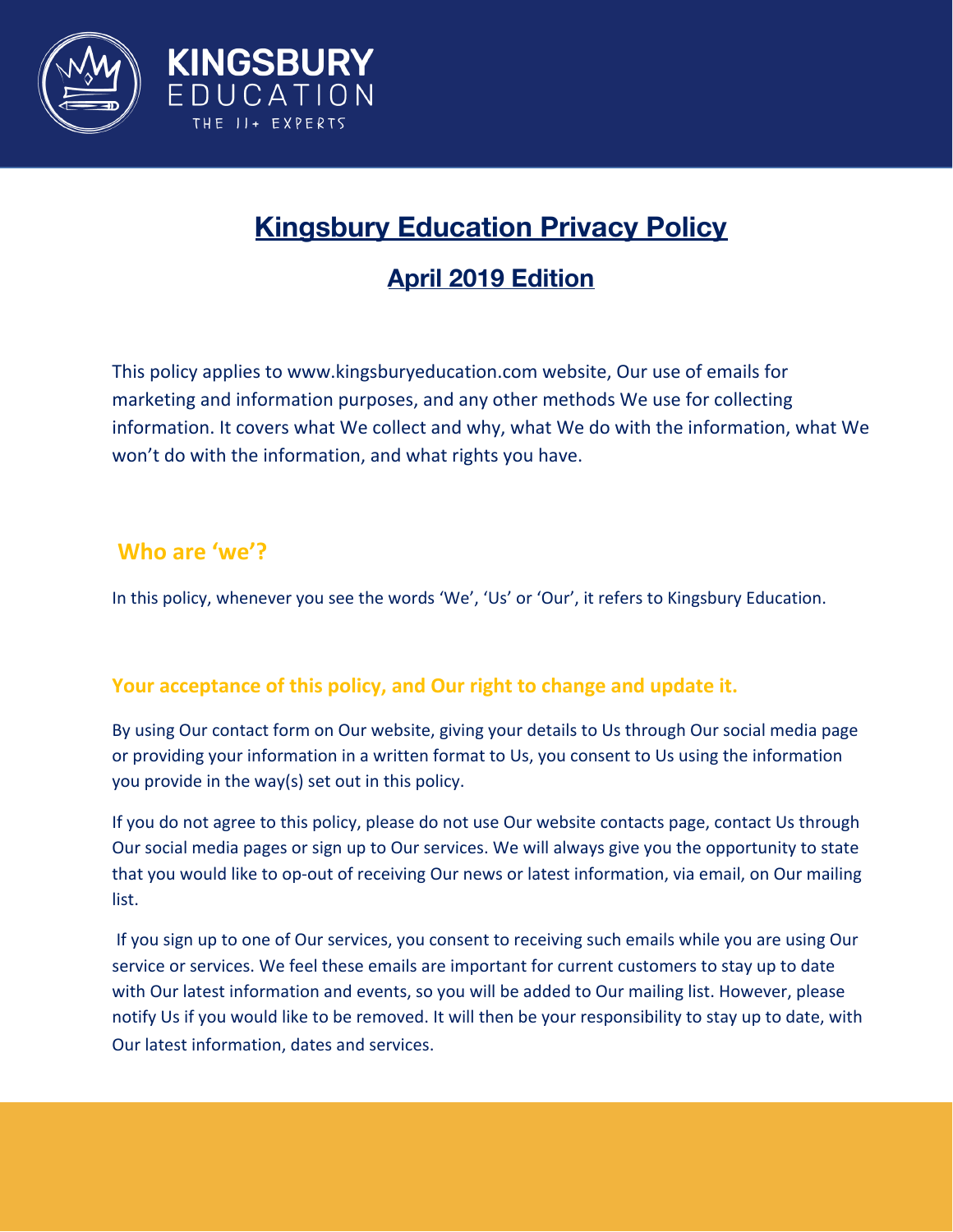



# **Kingsbury Education Privacy Policy**

## **April 2019 Edition**

This policy applies to www.kingsburyeducation.com website, Our use of emails for marketing and information purposes, and any other methods We use for collecting information. It covers what We collect and why, what We do with the information, what We won't do with the information, and what rights you have.

#### **Who are 'we'?**

In this policy, whenever you see the words 'We', 'Us' or 'Our', it refers to Kingsbury Education.

#### **Your acceptance of this policy, and Our right to change and update it.**

By using Our contact form on Our website, giving your details to Us through Our social media page or providing your information in a written format to Us, you consent to Us using the information you provide in the way(s) set out in this policy.

If you do not agree to this policy, please do not use Our website contacts page, contact Us through Our social media pages or sign up to Our services. We will always give you the opportunity to state that you would like to op-out of receiving Our news or latest information, via email, on Our mailing list.

 If you sign up to one of Our services, you consent to receiving such emails while you are using Our service or services. We feel these emails are important for current customers to stay up to date with Our latest information and events, so you will be added to Our mailing list. However, please notify Us if you would like to be removed. It will then be your responsibility to stay up to date, with Our latest information, dates and services.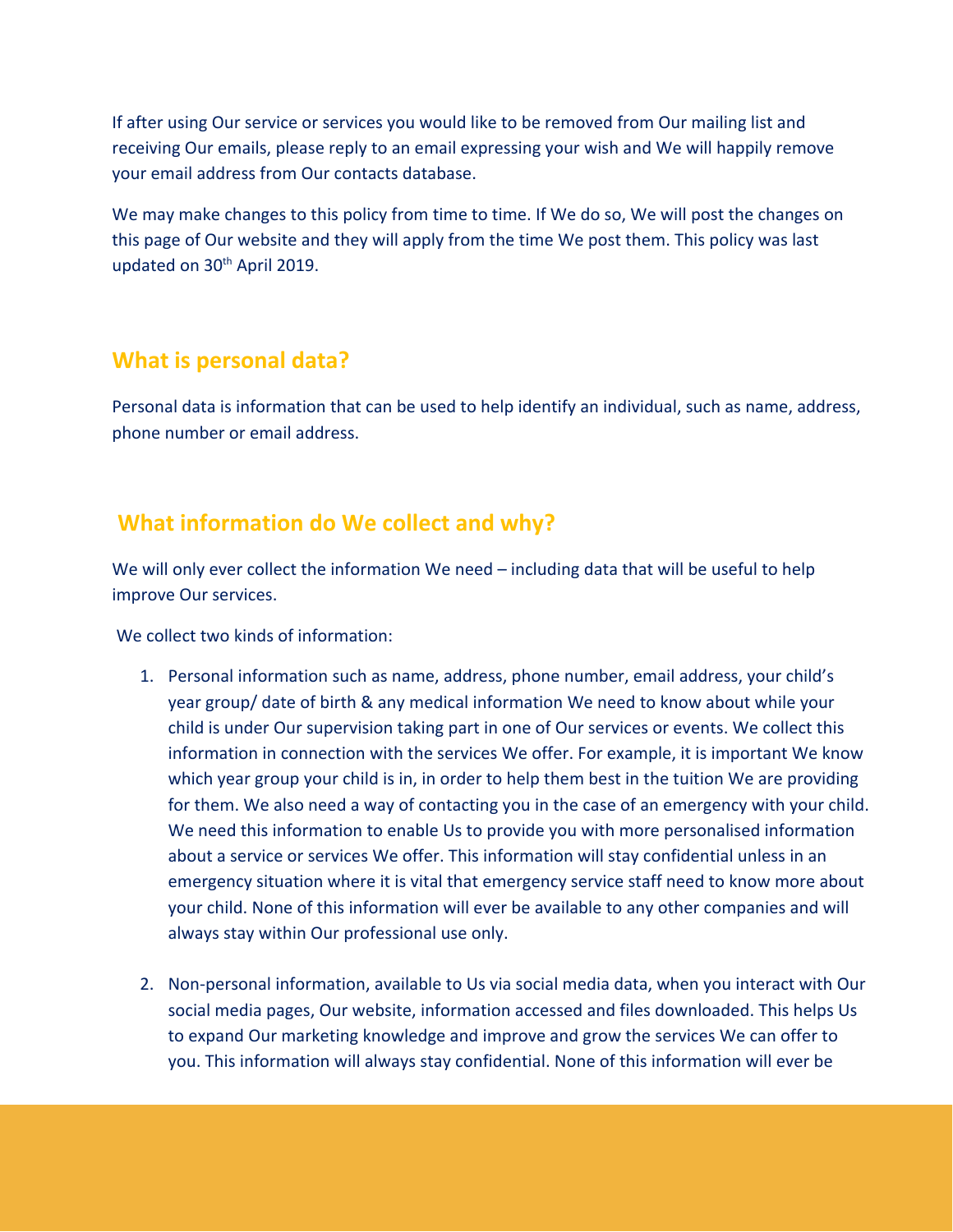If after using Our service or services you would like to be removed from Our mailing list and receiving Our emails, please reply to an email expressing your wish and We will happily remove your email address from Our contacts database.

We may make changes to this policy from time to time. If We do so, We will post the changes on this page of Our website and they will apply from the time We post them. This policy was last updated on 30<sup>th</sup> April 2019.

#### **What is personal data?**

Personal data is information that can be used to help identify an individual, such as name, address, phone number or email address.

#### **What information do We collect and why?**

We will only ever collect the information We need – including data that will be useful to help improve Our services.

We collect two kinds of information:

- 1. Personal information such as name, address, phone number, email address, your child's year group/ date of birth & any medical information We need to know about while your child is under Our supervision taking part in one of Our services or events. We collect this information in connection with the services We offer. For example, it is important We know which year group your child is in, in order to help them best in the tuition We are providing for them. We also need a way of contacting you in the case of an emergency with your child. We need this information to enable Us to provide you with more personalised information about a service or services We offer. This information will stay confidential unless in an emergency situation where it is vital that emergency service staff need to know more about your child. None of this information will ever be available to any other companies and will always stay within Our professional use only.
- 2. Non-personal information, available to Us via social media data, when you interact with Our social media pages, Our website, information accessed and files downloaded. This helps Us to expand Our marketing knowledge and improve and grow the services We can offer to you. This information will always stay confidential. None of this information will ever be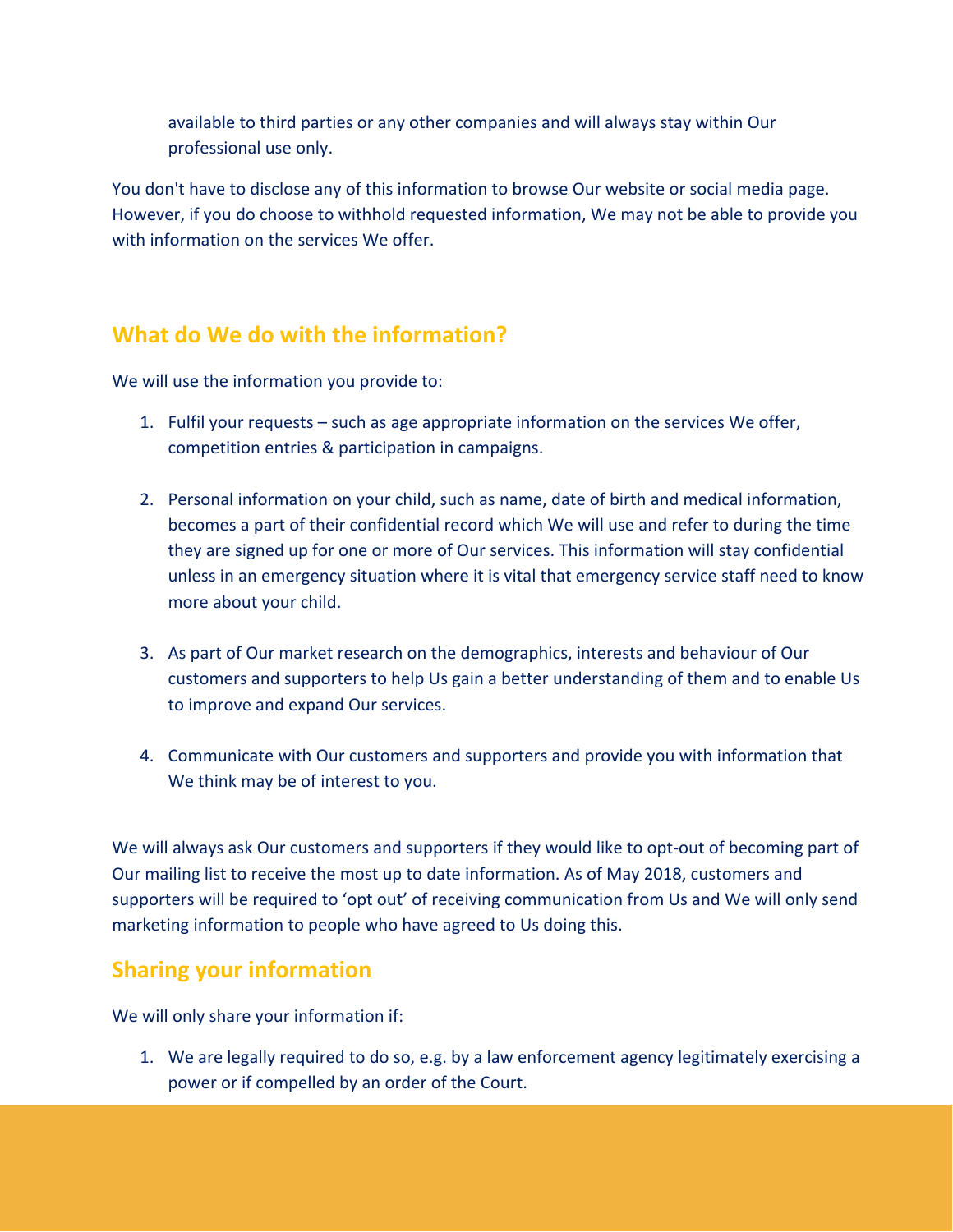available to third parties or any other companies and will always stay within Our professional use only.

You don't have to disclose any of this information to browse Our website or social media page. However, if you do choose to withhold requested information, We may not be able to provide you with information on the services We offer.

## **What do We do with the information?**

We will use the information you provide to:

- 1. Fulfil your requests such as age appropriate information on the services We offer, competition entries & participation in campaigns.
- 2. Personal information on your child, such as name, date of birth and medical information, becomes a part of their confidential record which We will use and refer to during the time they are signed up for one or more of Our services. This information will stay confidential unless in an emergency situation where it is vital that emergency service staff need to know more about your child.
- 3. As part of Our market research on the demographics, interests and behaviour of Our customers and supporters to help Us gain a better understanding of them and to enable Us to improve and expand Our services.
- 4. Communicate with Our customers and supporters and provide you with information that We think may be of interest to you.

We will always ask Our customers and supporters if they would like to opt-out of becoming part of Our mailing list to receive the most up to date information. As of May 2018, customers and supporters will be required to 'opt out' of receiving communication from Us and We will only send marketing information to people who have agreed to Us doing this.

## **Sharing your information**

We will only share your information if:

1. We are legally required to do so, e.g. by a law enforcement agency legitimately exercising a power or if compelled by an order of the Court.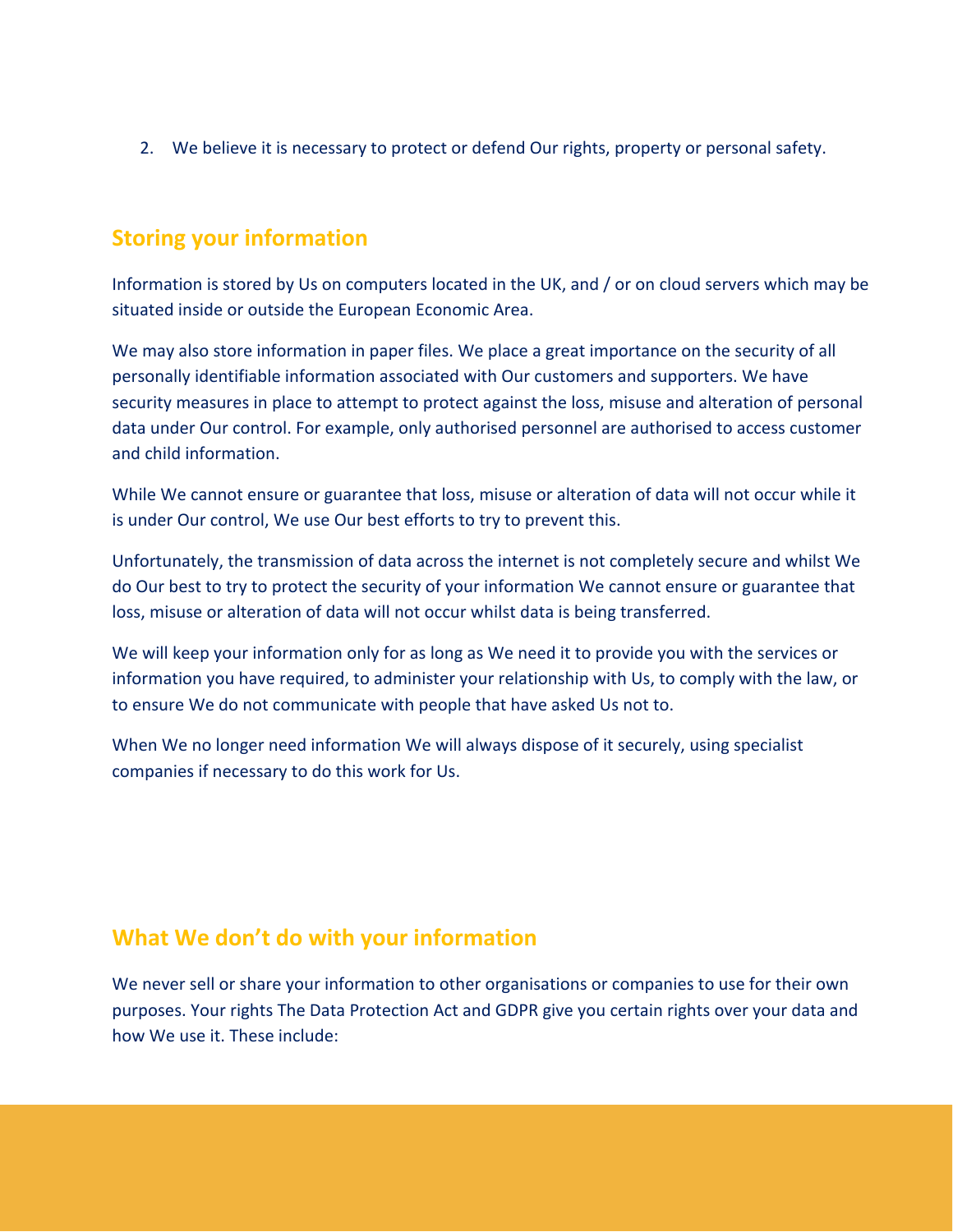2. We believe it is necessary to protect or defend Our rights, property or personal safety.

#### **Storing your information**

Information is stored by Us on computers located in the UK, and / or on cloud servers which may be situated inside or outside the European Economic Area.

We may also store information in paper files. We place a great importance on the security of all personally identifiable information associated with Our customers and supporters. We have security measures in place to attempt to protect against the loss, misuse and alteration of personal data under Our control. For example, only authorised personnel are authorised to access customer and child information.

While We cannot ensure or guarantee that loss, misuse or alteration of data will not occur while it is under Our control, We use Our best efforts to try to prevent this.

Unfortunately, the transmission of data across the internet is not completely secure and whilst We do Our best to try to protect the security of your information We cannot ensure or guarantee that loss, misuse or alteration of data will not occur whilst data is being transferred.

We will keep your information only for as long as We need it to provide you with the services or information you have required, to administer your relationship with Us, to comply with the law, or to ensure We do not communicate with people that have asked Us not to.

When We no longer need information We will always dispose of it securely, using specialist companies if necessary to do this work for Us.

### **What We don't do with your information**

We never sell or share your information to other organisations or companies to use for their own purposes. Your rights The Data Protection Act and GDPR give you certain rights over your data and how We use it. These include: